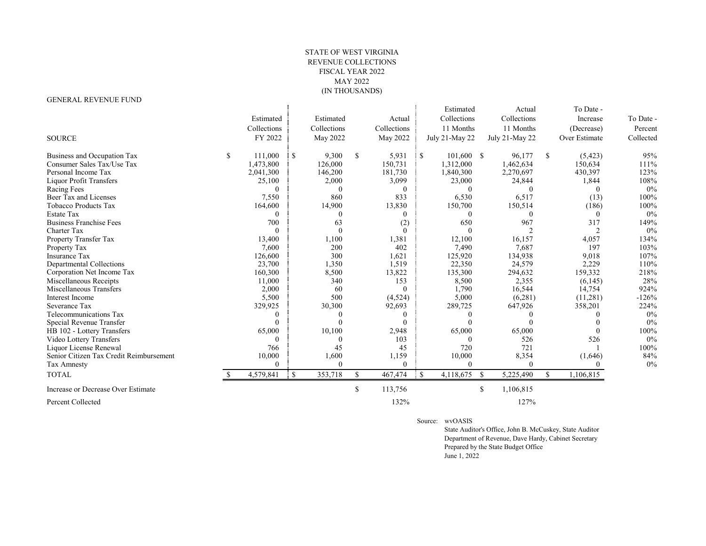## STATE OF WEST VIRGINIA REVENUE COLLECTIONS FISCAL YEAR 2022 MAY 2022 (IN THOUSANDS)

## GENERAL REVENUE FUND

|                                         |               |              |             |               |             |           | Estimated      |               | Actual         |               | To Date -     |           |
|-----------------------------------------|---------------|--------------|-------------|---------------|-------------|-----------|----------------|---------------|----------------|---------------|---------------|-----------|
|                                         | Estimated     |              | Estimated   |               | Actual      |           | Collections    |               | Collections    |               | Increase      | To Date - |
|                                         |               |              |             |               |             |           |                |               |                |               |               |           |
|                                         | Collections   |              | Collections |               | Collections |           | 11 Months      |               | 11 Months      |               | (Decrease)    | Percent   |
| <b>SOURCE</b>                           | FY 2022       |              | May 2022    |               | May 2022    |           | July 21-May 22 |               | July 21-May 22 |               | Over Estimate | Collected |
| Business and Occupation Tax             | \$<br>111,000 | <b>S</b>     | 9,300       | <sup>\$</sup> | 5,931       | $\cdot$ s | $101,600$ \$   |               | 96,177         | <sup>\$</sup> | (5,423)       | 95%       |
| Consumer Sales Tax/Use Tax              | 1,473,800     |              | 126,000     |               | 150,731     |           | 1,312,000      |               | 1,462,634      |               | 150,634       | 111%      |
| Personal Income Tax                     | 2,041,300     |              | 146,200     |               | 181,730     |           | 1,840,300      |               | 2,270,697      |               | 430,397       | 123%      |
| Liquor Profit Transfers                 | 25,100        |              | 2,000       |               | 3,099       |           | 23,000         |               | 24,844         |               | 1,844         | 108%      |
| Racing Fees                             | $\theta$      |              | $\Omega$    |               | $\Omega$    |           |                |               | $\Omega$       |               | 0             | $0\%$     |
| Beer Tax and Licenses                   | 7,550         |              | 860         |               | 833         |           | 6,530          |               | 6,517          |               | (13)          | 100%      |
| <b>Tobacco Products Tax</b>             | 164,600       |              | 14,900      |               | 13,830      |           | 150,700        |               | 150,514        |               | (186)         | 100%      |
| Estate Tax                              | $\Omega$      |              |             |               | $\theta$    |           |                |               | $\Omega$       |               | $\theta$      | 0%        |
| <b>Business Franchise Fees</b>          | 700           |              | 63          |               | (2)         |           | 650            |               | 967            |               | 317           | 149%      |
| Charter Tax                             | $\theta$      |              |             |               | $\Omega$    |           |                |               |                |               |               | 0%        |
| Property Transfer Tax                   | 13,400        |              | 1,100       |               | 1,381       |           | 12,100         |               | 16,157         |               | 4,057         | 134%      |
| Property Tax                            | 7,600         |              | 200         |               | 402         |           | 7,490          |               | 7.687          |               | 197           | 103%      |
| Insurance Tax                           | 126,600       |              | 300         |               | 1,621       |           | 125,920        |               | 134,938        |               | 9,018         | 107%      |
| Departmental Collections                | 23,700        |              | 1,350       |               | 1,519       |           | 22,350         |               | 24,579         |               | 2,229         | 110%      |
| Corporation Net Income Tax              | 160,300       |              | 8,500       |               | 13,822      |           | 135,300        |               | 294,632        |               | 159,332       | 218%      |
| Miscellaneous Receipts                  | 11,000        |              | 340         |               | 153         |           | 8,500          |               | 2,355          |               | (6,145)       | 28%       |
| Miscellaneous Transfers                 | 2,000         |              | 60          |               | $\Omega$    |           | 1,790          |               | 16,544         |               | 14,754        | 924%      |
| Interest Income                         | 5,500         |              | 500         |               | (4,524)     |           | 5,000          |               | (6,281)        |               | (11,281)      | $-126%$   |
| Severance Tax                           | 329,925       |              | 30,300      |               | 92,693      |           | 289,725        |               | 647,926        |               | 358,201       | 224%      |
| Telecommunications Tax                  | $\Omega$      |              | $\Omega$    |               | $\Omega$    |           |                |               | $\Omega$       |               |               | 0%        |
| Special Revenue Transfer                | $\Omega$      |              |             |               | $\Omega$    |           |                |               | $\Omega$       |               |               | 0%        |
| HB 102 - Lottery Transfers              | 65,000        |              | 10,100      |               | 2,948       |           | 65,000         |               | 65,000         |               | $\Omega$      | 100%      |
| Video Lottery Transfers                 | $\Omega$      |              | $\Omega$    |               | 103         |           | $\sqrt{ }$     |               | 526            |               | 526           | 0%        |
| Liquor License Renewal                  | 766           |              | 45          |               | 45          |           | 720            |               | 721            |               |               | 100%      |
| Senior Citizen Tax Credit Reimbursement | 10,000        |              | 1,600       |               | 1,159       |           | 10,000         |               | 8,354          |               | (1,646)       | 84%       |
| Tax Amnesty                             | $\Omega$      |              | $\Omega$    |               | $\Omega$    |           | $\Omega$       |               | $\theta$       |               |               | $0\%$     |
| <b>TOTAL</b>                            | 4,579,841     | $\mathbf{s}$ | 353,718     | \$.           | 467,474     | $\cdot$ s | 4,118,675      | <sup>\$</sup> | 5,225,490      | \$            | 1,106,815     |           |
| Increase or Decrease Over Estimate      |               |              |             | \$            | 113,756     |           |                | S.            | 1,106,815      |               |               |           |
| Percent Collected                       |               |              |             |               | 132%        |           |                |               | 127%           |               |               |           |

Source: wvOASIS

 State Auditor's Office, John B. McCuskey, State Auditor Department of Revenue, Dave Hardy, Cabinet Secretary Prepared by the State Budget Office June 1, 2022